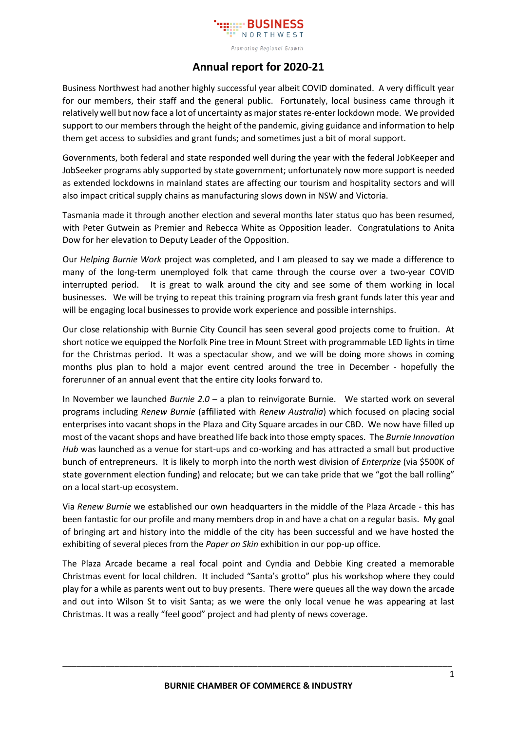

## **Annual report for 2020-21**

Business Northwest had another highly successful year albeit COVID dominated. A very difficult year for our members, their staff and the general public. Fortunately, local business came through it relatively well but now face a lot of uncertainty as major states re-enter lockdown mode. We provided support to our members through the height of the pandemic, giving guidance and information to help them get access to subsidies and grant funds; and sometimes just a bit of moral support.

Governments, both federal and state responded well during the year with the federal JobKeeper and JobSeeker programs ably supported by state government; unfortunately now more support is needed as extended lockdowns in mainland states are affecting our tourism and hospitality sectors and will also impact critical supply chains as manufacturing slows down in NSW and Victoria.

Tasmania made it through another election and several months later status quo has been resumed, with Peter Gutwein as Premier and Rebecca White as Opposition leader. Congratulations to Anita Dow for her elevation to Deputy Leader of the Opposition.

Our *Helping Burnie Work* project was completed, and I am pleased to say we made a difference to many of the long-term unemployed folk that came through the course over a two-year COVID interrupted period. It is great to walk around the city and see some of them working in local businesses. We will be trying to repeat this training program via fresh grant funds later this year and will be engaging local businesses to provide work experience and possible internships.

Our close relationship with Burnie City Council has seen several good projects come to fruition. At short notice we equipped the Norfolk Pine tree in Mount Street with programmable LED lights in time for the Christmas period. It was a spectacular show, and we will be doing more shows in coming months plus plan to hold a major event centred around the tree in December - hopefully the forerunner of an annual event that the entire city looks forward to.

In November we launched *Burnie 2.0* – a plan to reinvigorate Burnie. We started work on several programs including *Renew Burnie* (affiliated with *Renew Australia*) which focused on placing social enterprises into vacant shops in the Plaza and City Square arcades in our CBD. We now have filled up most of the vacant shops and have breathed life back into those empty spaces. The *Burnie Innovation Hub* was launched as a venue for start-ups and co-working and has attracted a small but productive bunch of entrepreneurs. It is likely to morph into the north west division of *Enterprize* (via \$500K of state government election funding) and relocate; but we can take pride that we "got the ball rolling" on a local start-up ecosystem.

Via *Renew Burnie* we established our own headquarters in the middle of the Plaza Arcade - this has been fantastic for our profile and many members drop in and have a chat on a regular basis. My goal of bringing art and history into the middle of the city has been successful and we have hosted the exhibiting of several pieces from the *Paper on Skin* exhibition in our pop-up office.

The Plaza Arcade became a real focal point and Cyndia and Debbie King created a memorable Christmas event for local children. It included "Santa's grotto" plus his workshop where they could play for a while as parents went out to buy presents. There were queues all the way down the arcade and out into Wilson St to visit Santa; as we were the only local venue he was appearing at last Christmas. It was a really "feel good" project and had plenty of news coverage.

\_\_\_\_\_\_\_\_\_\_\_\_\_\_\_\_\_\_\_\_\_\_\_\_\_\_\_\_\_\_\_\_\_\_\_\_\_\_\_\_\_\_\_\_\_\_\_\_\_\_\_\_\_\_\_\_\_\_\_\_\_\_\_\_\_\_\_\_\_\_\_\_\_\_\_\_\_\_\_\_\_\_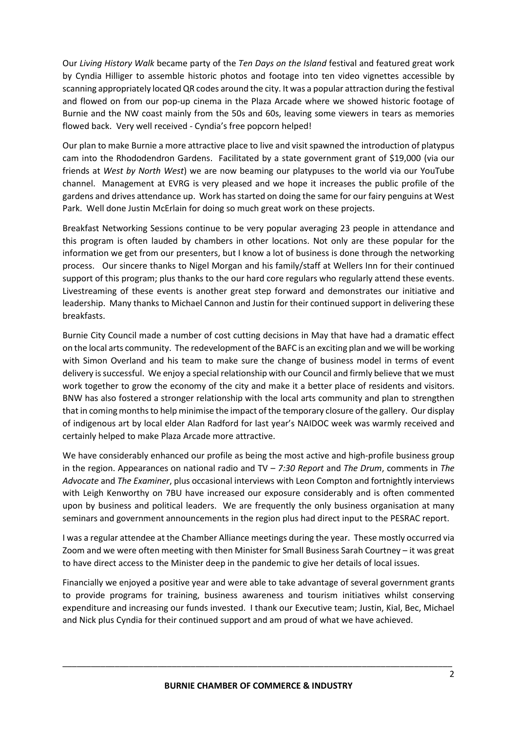Our *Living History Walk* became party of the *Ten Days on the Island* festival and featured great work by Cyndia Hilliger to assemble historic photos and footage into ten video vignettes accessible by scanning appropriately located QR codes around the city. It was a popular attraction during the festival and flowed on from our pop-up cinema in the Plaza Arcade where we showed historic footage of Burnie and the NW coast mainly from the 50s and 60s, leaving some viewers in tears as memories flowed back. Very well received - Cyndia's free popcorn helped!

Our plan to make Burnie a more attractive place to live and visit spawned the introduction of platypus cam into the Rhododendron Gardens. Facilitated by a state government grant of \$19,000 (via our friends at *West by North West*) we are now beaming our platypuses to the world via our YouTube channel. Management at EVRG is very pleased and we hope it increases the public profile of the gardens and drives attendance up. Work has started on doing the same for our fairy penguins at West Park. Well done Justin McErlain for doing so much great work on these projects.

Breakfast Networking Sessions continue to be very popular averaging 23 people in attendance and this program is often lauded by chambers in other locations. Not only are these popular for the information we get from our presenters, but I know a lot of business is done through the networking process. Our sincere thanks to Nigel Morgan and his family/staff at Wellers Inn for their continued support of this program; plus thanks to the our hard core regulars who regularly attend these events. Livestreaming of these events is another great step forward and demonstrates our initiative and leadership. Many thanks to Michael Cannon and Justin for their continued support in delivering these breakfasts.

Burnie City Council made a number of cost cutting decisions in May that have had a dramatic effect on the local arts community. The redevelopment of the BAFC is an exciting plan and we will be working with Simon Overland and his team to make sure the change of business model in terms of event delivery is successful. We enjoy a special relationship with our Council and firmly believe that we must work together to grow the economy of the city and make it a better place of residents and visitors. BNW has also fostered a stronger relationship with the local arts community and plan to strengthen that in coming monthsto help minimise the impact of the temporary closure of the gallery. Our display of indigenous art by local elder Alan Radford for last year's NAIDOC week was warmly received and certainly helped to make Plaza Arcade more attractive.

We have considerably enhanced our profile as being the most active and high-profile business group in the region. Appearances on national radio and TV – *7:30 Report* and *The Drum*, comments in *The Advocate* and *The Examiner*, plus occasional interviews with Leon Compton and fortnightly interviews with Leigh Kenworthy on 7BU have increased our exposure considerably and is often commented upon by business and political leaders. We are frequently the only business organisation at many seminars and government announcements in the region plus had direct input to the PESRAC report.

I was a regular attendee at the Chamber Alliance meetings during the year. These mostly occurred via Zoom and we were often meeting with then Minister for Small Business Sarah Courtney – it was great to have direct access to the Minister deep in the pandemic to give her details of local issues.

Financially we enjoyed a positive year and were able to take advantage of several government grants to provide programs for training, business awareness and tourism initiatives whilst conserving expenditure and increasing our funds invested. I thank our Executive team; Justin, Kial, Bec, Michael and Nick plus Cyndia for their continued support and am proud of what we have achieved.

\_\_\_\_\_\_\_\_\_\_\_\_\_\_\_\_\_\_\_\_\_\_\_\_\_\_\_\_\_\_\_\_\_\_\_\_\_\_\_\_\_\_\_\_\_\_\_\_\_\_\_\_\_\_\_\_\_\_\_\_\_\_\_\_\_\_\_\_\_\_\_\_\_\_\_\_\_\_\_\_\_\_